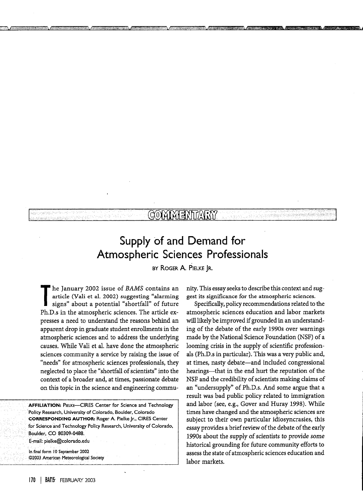## Supply of and Demand for Atmospheric Sciences Professionals

MONAI

BY ROGER A. PIELKE JR.

**The** January 2002 issue of *BAMS* contains an article (Vali et al. 2002) suggesting "alarming signs" about a potential "shortfall" of future Ph.D.s in the atmospheric sciences. The article expresses a need to understand the reasons behind an apparent drop in graduate student enrollments in the atmospheric sciences and to address the underlying causes. While Vali et al. have done the atmospheric sciences community a service by raising the issue of "needs" for atmospheric sciences professionals, they neglected to place the "shortfall of scientists" into the context of a broader and, at times, passionate debate on this topic in the science and engineering commu-

**AFFILIATION:** PIELKE-CIRES Center for Science and Technology Policy Research, University of Colorado, Boulder, Colorado **CORRESPONDING AUTHOR:** Roger A. Pielke Jr., CIRES Center for Science and Technology Policy Research, University of Colorado, Boulder, CO 80309-0488. E-mail: pielke@colorado.edu

In final form 10 September 2002 @2003 American Meteorological Society nity. This essay seeks to describe this context and suggest its significance for the atmospheric sciences.

Specifically, policy recommendations related to the atmospheric sciences education and labor markets will likely be improved if grounded in an understanding of the debate of the early 1990s over warnings made by the National Science Foundation (NSF) of a looming crisis in the supply of scientific professionals (Ph.D.s in particular). This was a very public and, at times, nasty debate—and included congressional hearings—that in the end hurt the reputation of the NSF and the credibility of scientists making claims of an "undersupply" of Ph.D.s. And some argue that a result was bad public policy related to immigration and labor (see, e.g., Gover and Huray 1998). While times have changed and the atmospheric sciences are subject to their own particular idiosyncrasies, this essay provides a brief review of the debate of the early 1990s about the supply of scientists to provide some historical grounding for future community efforts to assess the state of atmospheric sciences education and labor markets.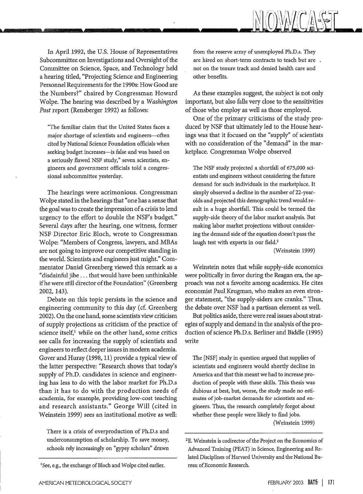

In April 1992, the U.S. House of Representatives Subcommittee on Investigations and Oversight of the Committee on Science, Space, and Technology held a hearing titled, "Projecting Science and Engineering Personnel Requirements for the 1990s: How Good are the Numbers?" chaired by Congressman Howard Wolpe. The hearing was described by a *Washington Post* report (Rensberger 1992) as follows:

L

"The familiar claim that the United States faces a major shortage of scientists and engineers-often cited by National Science Foundation officials when seeking budget increases-is false and was based on a seriously flawed NSF study," seven scientists, engineers and government officials told a congressional subcommittee yesterday.

The hearings were acrimonious. Congressman Wolpe stated in the hearings that "one has a sense that the goal was to create the impression of a crisis to lend urgency to the effort to double the NSF's budget." Several days after the hearing, one witness, former NSF Director Eric Bloch, wrote to Congressman Wolpe: "Members of Congress, lawyers, and MBAs are not going to improve our competitive standing in the world. Scientists and engineers just might." Commentator Daniel Greenberg viewed this remark as a "disdainful jibe ... that would have been unthinkable if he were still director of the Foundation" (Greenberg 2002, 143).

Debate on this topic persists in the science and engineering community to this day (cf. Greenberg 2002). On the one hand, some scientists view criticism of supply projections as criticism of the practice of science itself, $^1$  while on the other hand, some critics see calls for increasing the supply of scientists and engineers to reflect deeper issues in modern academia. Gover and Huray (1998, 11) provide a typical view of the latter perspective: "Research shows that today's supply of Ph.D. candidates in science and engineering has less to do with the labor market for Ph.D.s than it has to do with the production needs of academia, for example, providing low-cost teaching and research assistants." George Will (cited in Weinstein 1999) sees an institutional motive as well:

There is a crisis of overproduction of Ph.D.s and underconsumption of scholarship. To save money, schools rely increasingly on "gypsy scholars" drawn from the reserve army of unemployed Ph.D.s. They are hired on short-term contracts to teach but are not on the tenure track and denied health care and other benefits.

As these examples suggest, the subject is not only important, but also falls very close to the sensitivities of those who employ as well as those employed.

One of the primary criticisms of the study produced by NSF that ultimately led to the House hearings was that it focused on the "supply" of scientists with no consideration of the "demand" in the marketplace. Congressman Wolpe observed

The NSF study projected a shortfall of 675,000 scientists and engineers without considering the future demand for such individuals in the marketplace. It simply observed a decline in the number of 22-yearolds and projected this demographic trend would result in a huge shortfall. This could be termed the supply-side theory of the labor market analysis. But making labor market projections without considering the demand side of the equation doesn't pass the laugh test with experts in our field.<sup>2</sup>

(Weinstein 1999)

Weinstein notes that while supply-side economics were politically in favor during the Reagan era, the approach was not a favorite among academics. He cites economist Paul Krugman, who makes an even stronger statement, "the supply-siders are cranks." Thus, the debate over NSF had a partisan element as well.

But politics aside, there were real issues about strategies of supply and demand in the analysis of the production of science Ph.D.s. Berliner and Biddle (1995) write

The [NSF] study in question argued that supplies of scientists and engineers would shortly decline in America and that this meant we had to increase production of people with these skills. This thesis was dubious at best, but, worse, the study made no estimates of job-market demands for scientists and engineers. Thus, the research completely forgot about whether these people were likely to find jobs. (Weinstein 1999)

<sup>&</sup>lt;sup>1</sup>See, e.g., the exchange of Bloch and Wolpe cited earlier.

<sup>&</sup>lt;sup>2</sup>E. Weinstein is codirector of the Project on the Economics of Advanced Training (PEAT) in Science, Engineering and Related Disciplines of Harvard University and the National Bureau of Economic Research.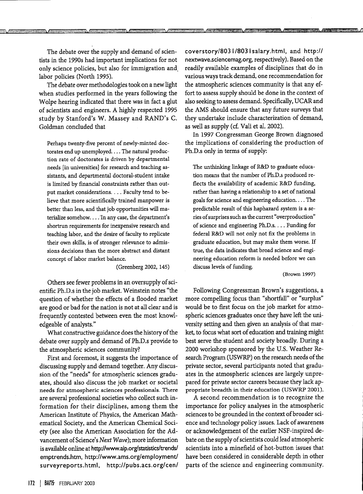The debate over the supply and demand of scientists in the 1990s had important implications for not only science policies, but also for immigration and labor policies (North 1995).

<u>77 / 7</u>

The debate over methodologies took on a new light when studies performed in the years following the Wolpe hearing indicated that there was in fact a glut of scientists and engineers. A highly respected 1995 study by Stanford's W. Massey and RAND's C. Goldman concluded that

Perhaps twenty-five percent of newly-minted doctorates end up unemployed.... The natural production rate of doctorates is driven by departmental needs [in universities] for research and teaching assistants, and departmental doctoral-student intake is limited by financial constraints rather than output market considerations.... Faculty tend to believe that more scientifically trained manpower is better than less, and that job opportunities will materialize somehow. ... In any case, the department's shortrun requirements for inexpensive research and teaching labor, and the desire of faculty to replicate their own skills, is of stronger relevance to admissions decisions than the more abstract and distant concept of labor market balance.

(Greenberg 2002, 145)

Others see fewer problems in an oversupply of scientific Ph.D.s in the job market. Weinstein notes "the question of whether the effects of a flooded market are good or bad for the nation is not at all clear and is frequently contested between even the most knowledgeable of analysts."

What constructive guidance does the history of the debate over supply and demand of Ph.D.s provide to the atmospheric sciences community?

First and foremost, it suggests the importance of discussing supply and demand together. Any discussion of the "needs" for atmospheric sciences graduates, should also discuss the job market or societal needs for atmospheric sciences professionals. There are several professional societies who collect such information for their disciplines, among them the American Institute of Physics, the American Mathematical Society, and the American Chemical Society (see also the American Association for the Advancement of Science's *Next Wave);* more information is available online at http://www.aip.org/statistics/trends/ emptrends.htm, http://www.ams.org/employment/ surveyreports.html, http://pubs.acs.org/cen/ coverstory/8031/8031salary.html, and http:// nextwave.sciencemag.org, respectively). Based on the readily available examples of disciplines that do in various ways track demand, one recommendation for the atmospheric sciences community is that any effort to assess supply should be done in the context of also seeking to assess demand. Specifically, UCAR and the AMS should ensure that any future surveys that they undertake include characterization of demand, as well as supply (cf. Vali et al. 2002).

In 1997 Congressman George Brown diagnosed the implications of considering the production of Ph.D.s only in terms of supply:

The unthinking linkage of R&D to graduate education means that the number of Ph.D.s produced reflects the availability of academic R&D funding, rather than having a relationship to a set of national goals for science and engineering education.... The predictable result of this haphazard system is a series of surprises such as the current "overproduction" of science and engineering Ph.D.s.... Funding for federal R&D will not only not fix the problems in graduate education, but may make them worse. If true, the data indicates that broad science and engineering education reform is needed before we can discuss levels of funding.

(Brown 1997)

Following Congressman Brown's suggestions, a more compelling focus than "shortfall" or "surplus" would be to first focus on the job market for atmospheric sciences graduates once they have left the university setting and then given an analysis of that market, to focus what sort of education and training might best serve the student and society broadly. During a 2000 workshop sponsored by the U.S. Weather Research Program (USWRP) on the research needs of the private sector, several participants noted that graduates in the atmospheric sciences are largely unprepared for private sector careers because they lack appropriate breadth in their education (USWRP 2001).

A second recommendation is to recognize the importance for policy analyses in the atmospheric sciences to be grounded in the context of broader science and technology policy issues. Lack of awareness or acknowledgement of the earlier NSF-inspired debate on the supply of scientists could lead atmospheric scientists into a minefield of hot-button issues that have been considered in considerable depth in other parts of the science and engineering community.